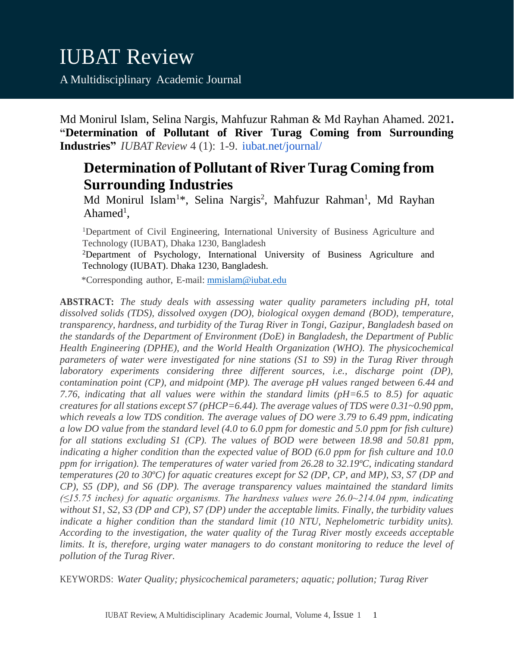Md Monirul Islam, Selina Nargis, Mahfuzur Rahman & Md Rayhan Ahamed. 2021**. "Determination of Pollutant of River Turag Coming from Surrounding Industries"** *IUBAT Review* 4 (1): 1-9. [iubat.net/journal/](https://iubat.net/journal/)

# **Determination of Pollutant of River Turag Coming from Surrounding Industries**

Md Monirul Islam<sup>1\*</sup>, Selina Nargis<sup>2</sup>, Mahfuzur Rahman<sup>1</sup>, Md Rayhan Ahamed<sup>1</sup>,

<sup>1</sup>Department of Civil Engineering, International University of Business Agriculture and Technology (IUBAT), Dhaka 1230, Bangladesh

<sup>2</sup>Department of Psychology, International University of Business Agriculture and Technology (IUBAT). Dhaka 1230, Bangladesh.

\*Corresponding author, E-mail: [mmislam@iubat.edu](mailto:mmislam@iubat.edu)

**ABSTRACT:** *The study deals with assessing water quality parameters including pH, total dissolved solids (TDS), dissolved oxygen (DO), biological oxygen demand (BOD), temperature, transparency, hardness, and turbidity of the Turag River in Tongi, Gazipur, Bangladesh based on the standards of the Department of Environment (DoE) in Bangladesh, the Department of Public Health Engineering (DPHE), and the World Health Organization (WHO). The physicochemical parameters of water were investigated for nine stations (S1 to S9) in the Turag River through laboratory experiments considering three different sources, i.e., discharge point (DP), contamination point (CP), and midpoint (MP). The average pH values ranged between 6.44 and 7.76, indicating that all values were within the standard limits (pH=6.5 to 8.5) for aquatic creatures for all stations except S7 (pHCP=6.44). The average values of TDS were 0.31~0.90 ppm, which reveals a low TDS condition. The average values of DO were 3.79 to 6.49 ppm, indicating a low DO value from the standard level (4.0 to 6.0 ppm for domestic and 5.0 ppm for fish culture) for all stations excluding S1 (CP). The values of BOD were between 18.98 and 50.81 ppm, indicating a higher condition than the expected value of BOD (6.0 ppm for fish culture and 10.0 ppm for irrigation). The temperatures of water varied from 26.28 to 32.19ºC, indicating standard temperatures (20 to 30ºC) for aquatic creatures except for S2 (DP, CP, and MP), S3, S7 (DP and CP), S5 (DP), and S6 (DP). The average transparency values maintained the standard limits (≤15.75 inches) for aquatic organisms. The hardness values were 26.0~214.04 ppm, indicating without S1, S2, S3 (DP and CP), S7 (DP) under the acceptable limits. Finally, the turbidity values indicate a higher condition than the standard limit (10 NTU, Nephelometric turbidity units). According to the investigation, the water quality of the Turag River mostly exceeds acceptable limits. It is, therefore, urging water managers to do constant monitoring to reduce the level of pollution of the Turag River.*

KEYWORDS: *Water Quality; physicochemical parameters; aquatic; pollution; Turag River*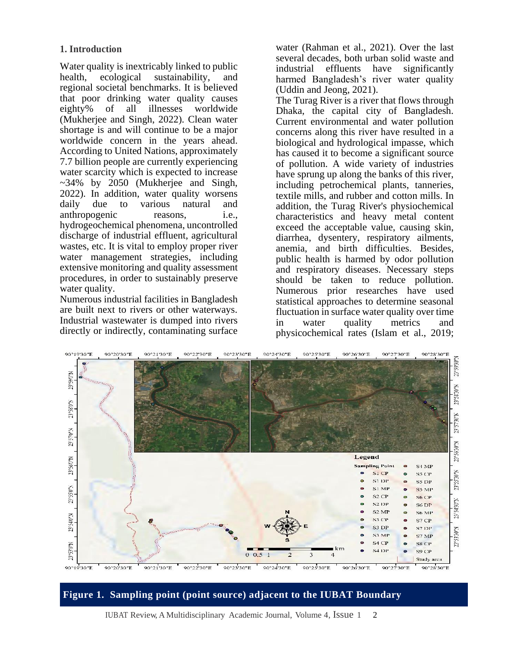## **1. Introduction**

Water quality is inextricably linked to public<br>health, ecological sustainability, and sustainability, and regional societal benchmarks. It is believed that poor drinking water quality causes<br>eighty% of all illnesses worldwide of all illnesses (Mukherjee and Singh, 2022). Clean water shortage is and will continue to be a major worldwide concern in the years ahead. According to United Nations, approximately 7.7 billion people are currently experiencing water scarcity which is expected to increase  $\sim$ 34% by 2050 (Mukherjee and Singh, 2022). In addition, water quality worsens daily due to various natural and anthropogenic reasons, i.e., hydrogeochemical phenomena, uncontrolled discharge of industrial effluent, agricultural wastes, etc. It is vital to employ proper river water management strategies, including extensive monitoring and quality assessment procedures, in order to sustainably preserve water quality.

Numerous industrial facilities in Bangladesh are built next to rivers or other waterways. Industrial wastewater is dumped into rivers directly or indirectly, contaminating surface water (Rahman et al., 2021). Over the last several decades, both urban solid waste and industrial effluents have significantly harmed Bangladesh's river water quality (Uddin and Jeong, 2021).

The Turag River is a river that flows through Dhaka, the capital city of Bangladesh. Current environmental and water pollution concerns along this river have resulted in a biological and hydrological impasse, which has caused it to become a significant source of pollution. A wide variety of industries have sprung up along the banks of this river, including petrochemical plants, tanneries, textile mills, and rubber and cotton mills. In addition, the Turag River's physiochemical characteristics and heavy metal content exceed the acceptable value, causing skin, diarrhea, dysentery, respiratory ailments, anemia, and birth difficulties. Besides, public health is harmed by odor pollution and respiratory diseases. Necessary steps should be taken to reduce pollution. Numerous prior researches have used statistical approaches to determine seasonal fluctuation in surface water quality over time in water quality metrics and physicochemical rates (Islam et al., 2019;



**Figure 1. Sampling point (point source) adjacent to the IUBAT Boundary**

IUBAT Review, A Multidisciplinary Academic Journal, Volume 4, Issue 1 2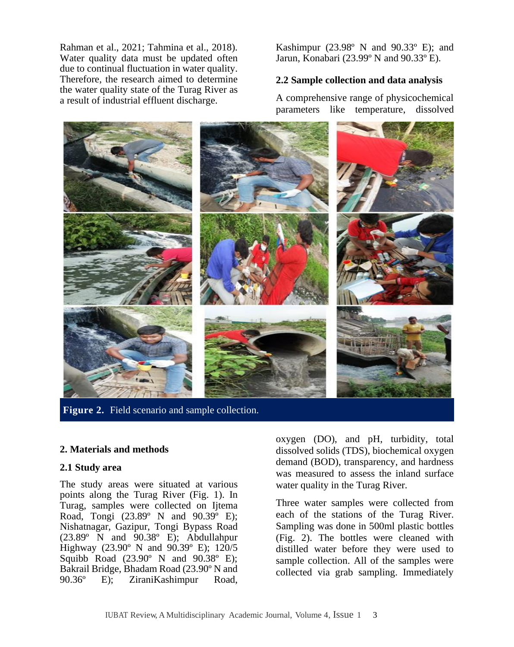Rahman et al., 2021; Tahmina et al., 2018). Water quality data must be updated often due to continual fluctuation in water quality. Therefore, the research aimed to determine the water quality state of the Turag River as a result of industrial effluent discharge.

Kashimpur (23.98 $\degree$  N and 90.33 $\degree$  E); and Jarun, Konabari (23.99º N and 90.33º E).

# **2.2 Sample collection and data analysis**

A comprehensive range of physicochemical parameters like temperature, dissolved



**Figure 2.** Field scenario and sample collection.

### **2. Materials and methods**

#### **2.1 Study area**

The study areas were situated at various points along the Turag River (Fig. 1). In Turag, samples were collected on Ijtema Road, Tongi  $(23.89^{\circ} \text{ N} \text{ and } 90.39^{\circ} \text{ E});$ Nishatnagar, Gazipur, Tongi Bypass Road  $(23.89° \text{ N}$  and  $90.38° \text{ E})$ ; Abdullahpur Highway (23.90º N and 90.39º E); 120/5 Squibb Road (23.90º N and 90.38º E); Bakrail Bridge, Bhadam Road (23.90° N and 90.36° E): ZiraniKashimpur Road. E); ZiraniKashimpur Road,

oxygen (DO), and pH, turbidity, total dissolved solids (TDS), biochemical oxygen demand (BOD), transparency, and hardness was measured to assess the inland surface water quality in the Turag River.

Three water samples were collected from each of the stations of the Turag River. Sampling was done in 500ml plastic bottles (Fig. 2). The bottles were cleaned with distilled water before they were used to sample collection. All of the samples were collected via grab sampling. Immediately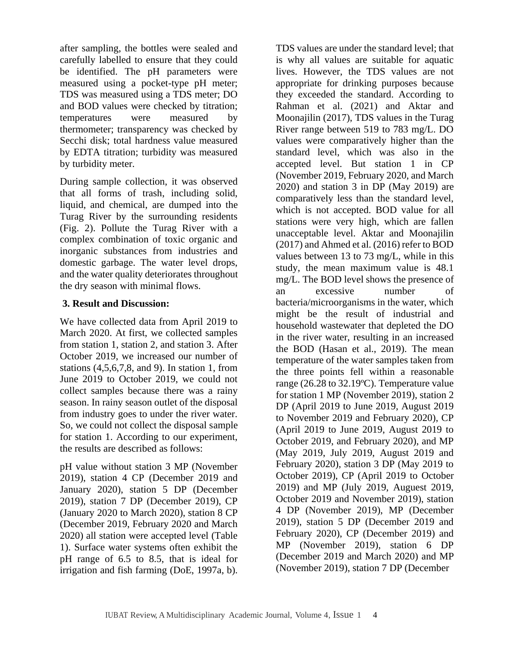after sampling, the bottles were sealed and carefully labelled to ensure that they could be identified. The pH parameters were measured using a pocket-type pH meter; TDS was measured using a TDS meter; DO and BOD values were checked by titration; temperatures were measured by thermometer; transparency was checked by Secchi disk; total hardness value measured by EDTA titration; turbidity was measured by turbidity meter.

During sample collection, it was observed that all forms of trash, including solid, liquid, and chemical, are dumped into the Turag River by the surrounding residents (Fig. 2). Pollute the Turag River with a complex combination of toxic organic and inorganic substances from industries and domestic garbage. The water level drops, and the water quality deteriorates throughout the dry season with minimal flows.

# **3. Result and Discussion:**

We have collected data from April 2019 to March 2020. At first, we collected samples from station 1, station 2, and station 3. After October 2019, we increased our number of stations (4,5,6,7,8, and 9). In station 1, from June 2019 to October 2019, we could not collect samples because there was a rainy season. In rainy season outlet of the disposal from industry goes to under the river water. So, we could not collect the disposal sample for station 1. According to our experiment, the results are described as follows:

pH value without station 3 MP (November 2019), station 4 CP (December 2019 and January 2020), station 5 DP (December 2019), station 7 DP (December 2019), CP (January 2020 to March 2020), station 8 CP (December 2019, February 2020 and March 2020) all station were accepted level (Table 1). Surface water systems often exhibit the pH range of 6.5 to 8.5, that is ideal for irrigation and fish farming (DoE, 1997a, b).

TDS values are under the standard level; that is why all values are suitable for aquatic lives. However, the TDS values are not appropriate for drinking purposes because they exceeded the standard. According to Rahman et al. (2021) and Aktar and Moonajilin (2017), TDS values in the Turag River range between 519 to 783 mg/L. DO values were comparatively higher than the standard level, which was also in the accepted level. But station 1 in CP (November 2019, February 2020, and March 2020) and station 3 in DP (May 2019) are comparatively less than the standard level, which is not accepted. BOD value for all stations were very high, which are fallen unacceptable level. Aktar and Moonajilin (2017) and Ahmed et al. (2016) refer to BOD values between 13 to 73 mg/L, while in this study, the mean maximum value is 48.1 mg/L. The BOD level shows the presence of an excessive number of bacteria/microorganisms in the water, which might be the result of industrial and household wastewater that depleted the DO in the river water, resulting in an increased the BOD (Hasan et al., 2019). The mean temperature of the water samples taken from the three points fell within a reasonable range (26.28 to 32.19ºC). Temperature value for station 1 MP (November 2019), station 2 DP (April 2019 to June 2019, August 2019 to November 2019 and February 2020), CP (April 2019 to June 2019, August 2019 to October 2019, and February 2020), and MP (May 2019, July 2019, August 2019 and February 2020), station 3 DP (May 2019 to October 2019), CP (April 2019 to October 2019) and MP (July 2019, Auguest 2019, October 2019 and November 2019), station 4 DP (November 2019), MP (December 2019), station 5 DP (December 2019 and February 2020), CP (December 2019) and MP (November 2019), station 6 DP (December 2019 and March 2020) and MP (November 2019), station 7 DP (December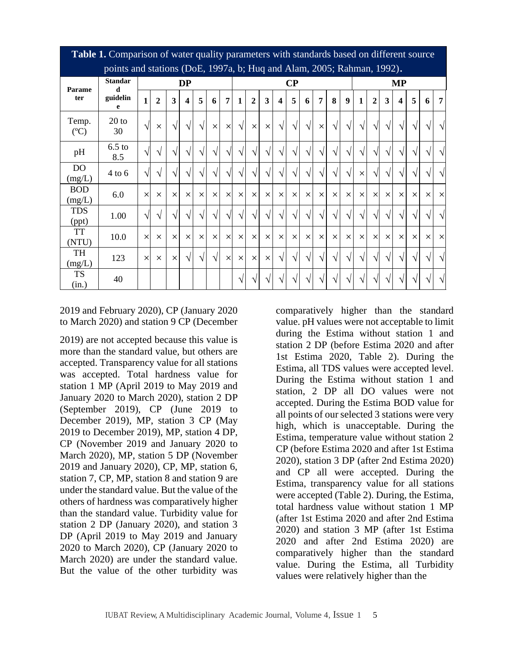| <b>Tuble 1.</b> Comparison of water quality parameters while standards based on unforcint source<br>points and stations (DoE, 1997a, b; Huq and Alam, 2005; Rahman, 1992). |                     |              |                |           |            |            |            |                |              |                |          |                         |            |            |                |            |                  |              |                |            |            |            |          |                |
|----------------------------------------------------------------------------------------------------------------------------------------------------------------------------|---------------------|--------------|----------------|-----------|------------|------------|------------|----------------|--------------|----------------|----------|-------------------------|------------|------------|----------------|------------|------------------|--------------|----------------|------------|------------|------------|----------|----------------|
| Parame<br>ter                                                                                                                                                              | <b>Standar</b><br>d |              | <b>DP</b>      |           |            |            |            | $\bf CP$       |              |                |          |                         |            | <b>MP</b>  |                |            |                  |              |                |            |            |            |          |                |
|                                                                                                                                                                            | guidelin<br>e       | $\mathbf{1}$ | $\overline{2}$ | 3         | 4          | 5          | 6          | $\overline{7}$ | $\mathbf{1}$ | $\overline{2}$ | 3        | $\overline{\mathbf{4}}$ | 5          | 6          | $\overline{7}$ | 8          | $\boldsymbol{9}$ | $\mathbf{1}$ | $\overline{2}$ | 3          | 4          | 5          | 6        | $\overline{7}$ |
| Temp.<br>(C)                                                                                                                                                               | $20$ to<br>30       | $\sqrt{ }$   | $\times$       | $\sqrt{}$ | $\sqrt{ }$ | $\sqrt{ }$ | $\times$   | $\times$       | $\sqrt{ }$   | $\times$       | $\times$ | $\sqrt{ }$              | $\sqrt{ }$ | $\sqrt{ }$ | $\times$       | $\sqrt{ }$ | V                | $\sqrt{}$    |                | $\sqrt{ }$ |            | $\sqrt{}$  | V        | $\sqrt{ }$     |
| pH                                                                                                                                                                         | $6.5$ to<br>8.5     | $\sqrt{ }$   | N              | V         |            | V          | V          | $\sqrt{ }$     |              | $\sqrt{ }$     | V        | $\mathcal{N}$           | $\sqrt{ }$ | $\sqrt{ }$ | $\sqrt{ }$     | V          | N                | $\sqrt{}$    |                | $\sqrt{ }$ | $\sqrt{ }$ | $\sqrt{}$  | V        |                |
| DO<br>(mg/L)                                                                                                                                                               | $4$ to 6            | $\sqrt{ }$   | اد             | N         |            | N          |            | $\sqrt{ }$     |              | $\sqrt{ }$     | N        | $\Delta$                | $\sqrt{ }$ | $\sqrt{ }$ | $\sqrt{ }$     | ٦l         |                  | $\times$     |                | $\sqrt{ }$ |            | $\sqrt{ }$ | N        |                |
| <b>BOD</b><br>(mg/L)                                                                                                                                                       | 6.0                 | $\times$     | $\times$       | $\times$  | $\times$   | $\times$   | $\times$   | $\times$       | $\times$     | $\times$       | $\times$ | $\times$                | $\times$   | $\times$   | $\times$       | $\times$   | $\times$         | $\times$     | $\times$       | $\times$   | $\times$   | $\times$   | $\times$ | $\times$       |
| <b>TDS</b><br>(ppt)                                                                                                                                                        | 1.00                | $\sqrt{ }$   | اد             | $\sqrt{}$ |            | N          | $\sqrt{ }$ | $\sqrt{ }$     | $\sqrt{ }$   | $\sqrt{ }$     | V        | $\sqrt{ }$              | $\sqrt{ }$ | $\sqrt{ }$ | $\sqrt{ }$     | $\sqrt{ }$ | $\mathcal{N}$    | $\sqrt{ }$   |                | $\sqrt{ }$ | $\sqrt{ }$ | $\sqrt{}$  | J        | $\sqrt{ }$     |
| TT<br>(NTU)                                                                                                                                                                | 10.0                | $\times$     | $\times$       | $\times$  | $\times$   | $\times$   | $\times$   | $\times$       | $\times$     | $\times$       | $\times$ | $\times$                | $\times$   | $\times$   | $\times$       | $\times$   | $\times$         | $\times$     | $\times$       | $\times$   | $\times$   | $\times$   | $\times$ | $\times$       |
| TH<br>(mg/L)                                                                                                                                                               | 123                 | $\times$     | $\times$       | $\times$  | $\sqrt{ }$ | $\sqrt{ }$ | $\sqrt{ }$ | $\times$       | $\times$     | $\times$       | $\times$ | $\gamma$                | $\sqrt{ }$ | $\sqrt{ }$ | $\sqrt{ }$     | ٦l         |                  | N            |                | $\sqrt{ }$ |            | $\sqrt{ }$ | ٦Ι       | N              |
| TS<br>(in.)                                                                                                                                                                | 40                  |              |                |           |            |            |            |                |              | $\sqrt{ }$     | اد       |                         | $\sqrt{ }$ | $\sqrt{ }$ | $\sqrt{ }$     | N          |                  | $\sqrt{ }$   |                | N          |            | $\sqrt{ }$ |          |                |

**Table 1.** Comparison of water quality parameters with standards based on different source

2019 and February 2020), CP (January 2020 to March 2020) and station 9 CP (December

2019) are not accepted because this value is more than the standard value, but others are accepted. Transparency value for all stations was accepted. Total hardness value for station 1 MP (April 2019 to May 2019 and January 2020 to March 2020), station 2 DP (September 2019), CP (June 2019 to December 2019), MP, station 3 CP (May 2019 to December 2019), MP, station 4 DP, CP (November 2019 and January 2020 to March 2020), MP, station 5 DP (November 2019 and January 2020), CP, MP, station 6, station 7, CP, MP, station 8 and station 9 are under the standard value. But the value of the others of hardness was comparatively higher than the standard value. Turbidity value for station 2 DP (January 2020), and station 3 DP (April 2019 to May 2019 and January 2020 to March 2020), CP (January 2020 to March 2020) are under the standard value. But the value of the other turbidity was

comparatively higher than the standard value. pH values were not acceptable to limit during the Estima without station 1 and station 2 DP (before Estima 2020 and after 1st Estima 2020, Table 2). During the Estima, all TDS values were accepted level. During the Estima without station 1 and station, 2 DP all DO values were not accepted. During the Estima BOD value for all points of our selected 3 stations were very high, which is unacceptable. During the Estima, temperature value without station 2 CP (before Estima 2020 and after 1st Estima 2020), station 3 DP (after 2nd Estima 2020) and CP all were accepted. During the Estima, transparency value for all stations were accepted (Table 2). During, the Estima, total hardness value without station 1 MP (after 1st Estima 2020 and after 2nd Estima 2020) and station 3 MP (after 1st Estima 2020 and after 2nd Estima 2020) are comparatively higher than the standard value. During the Estima, all Turbidity values were relatively higher than the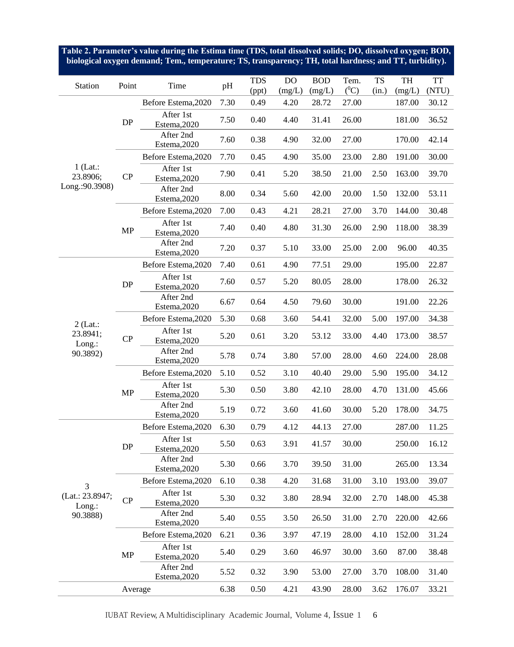**Table 2. Parameter's value during the Estima time (TDS, total dissolved solids; DO, dissolved oxygen; BOD, biological oxygen demand; Tem., temperature; TS, transparency; TH, total hardness; and TT, turbidity).**

| Station                                   | Point     | Time                      | pH   | <b>TDS</b> | DO     | <b>BOD</b> | Tem.    | <b>TS</b> | TH     | <b>TT</b>                                                   |
|-------------------------------------------|-----------|---------------------------|------|------------|--------|------------|---------|-----------|--------|-------------------------------------------------------------|
|                                           |           |                           |      | (ppt)      | (mg/L) | (mg/L)     | $(^0C)$ | (in.)     | (mg/L) | (NTU)                                                       |
|                                           |           | Before Estema, 2020       | 7.30 | 0.49       | 4.20   | 28.72      | 27.00   |           | 187.00 | 30.12                                                       |
|                                           | DP        | After 1st<br>Estema, 2020 | 7.50 | 0.40       | 4.40   | 31.41      | 26.00   |           | 181.00 | 36.52                                                       |
| $1$ (Lat.:<br>23.8906;<br>Long.: 90.3908) |           | After 2nd<br>Estema, 2020 | 7.60 | 0.38       | 4.90   | 32.00      | 27.00   |           | 170.00 | 42.14                                                       |
|                                           |           | Before Estema, 2020       | 7.70 | 0.45       | 4.90   | 35.00      | 23.00   | 2.80      | 191.00 | 30.00                                                       |
|                                           | CP        | After 1st<br>Estema, 2020 | 7.90 | 0.41       | 5.20   | 38.50      | 21.00   | 2.50      | 163.00 | 39.70                                                       |
|                                           |           | After 2nd<br>Estema, 2020 | 8.00 | 0.34       | 5.60   | 42.00      | 20.00   | 1.50      | 132.00 | 53.11                                                       |
|                                           |           | Before Estema, 2020       | 7.00 | 0.43       | 4.21   | 28.21      | 27.00   | 3.70      | 144.00 | 30.48                                                       |
|                                           | MP        | After 1st<br>Estema, 2020 | 7.40 | 0.40       | 4.80   | 31.30      | 26.00   | 2.90      | 118.00 | 38.39                                                       |
|                                           |           | After 2nd<br>Estema, 2020 | 7.20 | 0.37       | 5.10   | 33.00      | 25.00   | 2.00      | 96.00  | 40.35                                                       |
|                                           |           | Before Estema, 2020       | 7.40 | 0.61       | 4.90   | 77.51      | 29.00   |           | 195.00 | 22.87<br>26.32<br>22.26<br>34.38<br>38.57<br>28.08<br>34.12 |
|                                           | DP        | After 1st<br>Estema, 2020 | 7.60 | 0.57       | 5.20   | 80.05      | 28.00   |           | 178.00 |                                                             |
|                                           |           | After 2nd<br>Estema, 2020 | 6.67 | 0.64       | 4.50   | 79.60      | 30.00   |           | 191.00 |                                                             |
| $2$ (Lat.:<br>23.8941;<br>$Long.$ :       |           | Before Estema, 2020       | 5.30 | 0.68       | 3.60   | 54.41      | 32.00   | 5.00      | 197.00 |                                                             |
|                                           | CP        | After 1st<br>Estema, 2020 | 5.20 | 0.61       | 3.20   | 53.12      | 33.00   | 4.40      | 173.00 |                                                             |
| 90.3892)                                  |           | After 2nd<br>Estema, 2020 | 5.78 | 0.74       | 3.80   | 57.00      | 28.00   | 4.60      | 224.00 |                                                             |
|                                           |           | Before Estema, 2020       | 5.10 | 0.52       | 3.10   | 40.40      | 29.00   | 5.90      | 195.00 |                                                             |
|                                           | MP        | After 1st<br>Estema, 2020 | 5.30 | 0.50       | 3.80   | 42.10      | 28.00   | 4.70      | 131.00 | 45.66                                                       |
|                                           |           | After 2nd<br>Estema, 2020 | 5.19 | 0.72       | 3.60   | 41.60      | 30.00   | 5.20      | 178.00 | 34.75                                                       |
|                                           |           | Before Estema, 2020       | 6.30 | 0.79       | 4.12   | 44.13      | 27.00   |           | 287.00 | 11.25                                                       |
|                                           | <b>DP</b> | After 1st<br>Estema, 2020 | 5.50 | 0.63       | 3.91   | 41.57      | 30.00   |           | 250.00 | 16.12                                                       |
|                                           |           | After 2nd<br>Estema, 2020 | 5.30 | 0.66       | 3.70   | 39.50      | 31.00   |           | 265.00 | 13.34                                                       |
| 3                                         |           | Before Estema, 2020       | 6.10 | 0.38       | 4.20   | 31.68      | 31.00   | 3.10      | 193.00 | 39.07                                                       |
| (Lat.: 23.8947;<br>$Long.$ :              | CP        | After 1st<br>Estema, 2020 | 5.30 | 0.32       | 3.80   | 28.94      | 32.00   | 2.70      | 148.00 | 45.38                                                       |
| 90.3888)                                  |           | After 2nd<br>Estema, 2020 | 5.40 | 0.55       | 3.50   | 26.50      | 31.00   | 2.70      | 220.00 | 42.66                                                       |
|                                           |           | Before Estema, 2020       | 6.21 | 0.36       | 3.97   | 47.19      | 28.00   | 4.10      | 152.00 | 31.24                                                       |
|                                           | MP        | After 1st<br>Estema, 2020 | 5.40 | 0.29       | 3.60   | 46.97      | 30.00   | 3.60      | 87.00  | 38.48                                                       |
|                                           |           | After 2nd<br>Estema, 2020 | 5.52 | 0.32       | 3.90   | 53.00      | 27.00   | 3.70      | 108.00 | 31.40                                                       |
|                                           | Average   |                           | 6.38 | 0.50       | 4.21   | 43.90      | 28.00   | 3.62      | 176.07 | 33.21                                                       |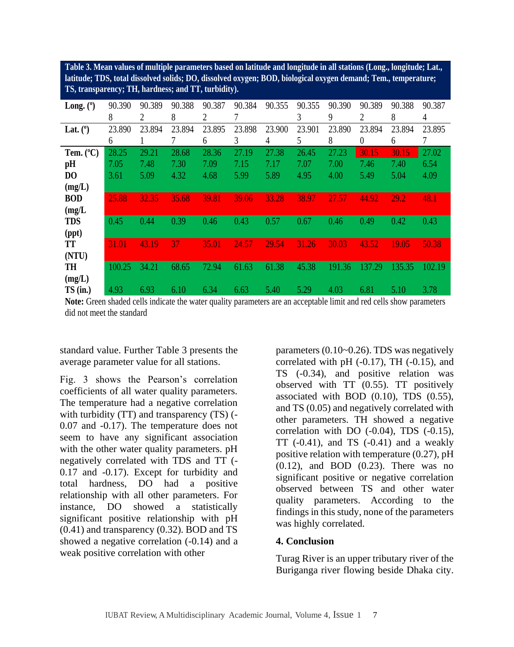**latitude; TDS, total dissolved solids; DO, dissolved oxygen; BOD, biological oxygen demand; Tem., temperature; TS, transparency; TH, hardness; and TT, turbidity).**

| Table 3. Mean values of multiple parameters based on latitude and longitude in all stations (Long., longitude; Lat.,<br>latitude; TDS, total dissolved solids; DO, dissolved oxygen; BOD, biological oxygen demand; Tem., temperature;<br>TS, transparency; TH, hardness; and TT, turbidity).                                                                                                                                                                                                                                                                                                                                                                                            |                 |                  |        |                           |        |                                                                                              |               |        |                |                                                                                                                                                                                                                                                                                                                                                                                                                                                                                                                                                                                                                                                                                    |        |  |  |
|------------------------------------------------------------------------------------------------------------------------------------------------------------------------------------------------------------------------------------------------------------------------------------------------------------------------------------------------------------------------------------------------------------------------------------------------------------------------------------------------------------------------------------------------------------------------------------------------------------------------------------------------------------------------------------------|-----------------|------------------|--------|---------------------------|--------|----------------------------------------------------------------------------------------------|---------------|--------|----------------|------------------------------------------------------------------------------------------------------------------------------------------------------------------------------------------------------------------------------------------------------------------------------------------------------------------------------------------------------------------------------------------------------------------------------------------------------------------------------------------------------------------------------------------------------------------------------------------------------------------------------------------------------------------------------------|--------|--|--|
| Long. $(°)$                                                                                                                                                                                                                                                                                                                                                                                                                                                                                                                                                                                                                                                                              | 90.390          | 90.389           | 90.388 | 90.387                    | 90.384 | 90.355                                                                                       | 90.355        | 90.390 | 90.389         | 90.388                                                                                                                                                                                                                                                                                                                                                                                                                                                                                                                                                                                                                                                                             | 90.387 |  |  |
|                                                                                                                                                                                                                                                                                                                                                                                                                                                                                                                                                                                                                                                                                          | $\,8\,$         | 2                | 8      | $\overline{2}$            | 7      |                                                                                              | 3             | 9      | $\overline{c}$ | 8                                                                                                                                                                                                                                                                                                                                                                                                                                                                                                                                                                                                                                                                                  | 4      |  |  |
| Lat. $(°)$                                                                                                                                                                                                                                                                                                                                                                                                                                                                                                                                                                                                                                                                               | 23.890          | 23.894           | 23.894 | 23.895                    | 23.898 | 23.900                                                                                       | 23.901        | 23.890 | 23.894         | 23.894                                                                                                                                                                                                                                                                                                                                                                                                                                                                                                                                                                                                                                                                             | 23.895 |  |  |
|                                                                                                                                                                                                                                                                                                                                                                                                                                                                                                                                                                                                                                                                                          | 6               | 1                | 7      | 6                         | 3      | 4                                                                                            | 5             | 8      | 0              | 6                                                                                                                                                                                                                                                                                                                                                                                                                                                                                                                                                                                                                                                                                  | 7      |  |  |
| Tem. $(^{\circ}C)$                                                                                                                                                                                                                                                                                                                                                                                                                                                                                                                                                                                                                                                                       | 28.25           | 29.21            | 28.68  | 28.36                     | 27.19  | 27.38                                                                                        | 26.45         | 27.23  | 30.15          | 30.15                                                                                                                                                                                                                                                                                                                                                                                                                                                                                                                                                                                                                                                                              | 27.02  |  |  |
| pН                                                                                                                                                                                                                                                                                                                                                                                                                                                                                                                                                                                                                                                                                       | 7.05            | 7.48             | 7.30   | 7.09                      | 7.15   | 7.17                                                                                         | 7.07          | 7.00   | 7.46           | 7.40                                                                                                                                                                                                                                                                                                                                                                                                                                                                                                                                                                                                                                                                               | 6.54   |  |  |
| D <sub>0</sub>                                                                                                                                                                                                                                                                                                                                                                                                                                                                                                                                                                                                                                                                           | 3.61            | 5.09             | 4.32   | 4.68                      | 5.99   | 5.89                                                                                         | 4.95          | 4.00   | 5.49           | 5.04                                                                                                                                                                                                                                                                                                                                                                                                                                                                                                                                                                                                                                                                               | 4.09   |  |  |
| (mg/L)                                                                                                                                                                                                                                                                                                                                                                                                                                                                                                                                                                                                                                                                                   |                 |                  |        |                           |        |                                                                                              |               |        |                |                                                                                                                                                                                                                                                                                                                                                                                                                                                                                                                                                                                                                                                                                    |        |  |  |
| <b>BOD</b>                                                                                                                                                                                                                                                                                                                                                                                                                                                                                                                                                                                                                                                                               | 25.88           | 32.35            | 35.68  | 39.81                     | 39.06  | 33.28                                                                                        | 38.97         | 27.57  | 44.92          | 29.2                                                                                                                                                                                                                                                                                                                                                                                                                                                                                                                                                                                                                                                                               | 48.1   |  |  |
| (mg/L)                                                                                                                                                                                                                                                                                                                                                                                                                                                                                                                                                                                                                                                                                   | 0.45            | 0.44             | 0.39   | 0.46                      | 0.43   | 0.57                                                                                         | 0.67          | 0.46   | 0.49           | 0.42                                                                                                                                                                                                                                                                                                                                                                                                                                                                                                                                                                                                                                                                               | 0.43   |  |  |
| <b>TDS</b><br>(ppt)                                                                                                                                                                                                                                                                                                                                                                                                                                                                                                                                                                                                                                                                      |                 |                  |        |                           |        |                                                                                              |               |        |                |                                                                                                                                                                                                                                                                                                                                                                                                                                                                                                                                                                                                                                                                                    |        |  |  |
| TT                                                                                                                                                                                                                                                                                                                                                                                                                                                                                                                                                                                                                                                                                       | 31.01           | 43.19            | 37     | 35.01                     | 24.57  | 29.54                                                                                        | 31.26         | 30.03  | 43.52          | 19.05                                                                                                                                                                                                                                                                                                                                                                                                                                                                                                                                                                                                                                                                              | 50.38  |  |  |
| (NTU)                                                                                                                                                                                                                                                                                                                                                                                                                                                                                                                                                                                                                                                                                    |                 |                  |        |                           |        |                                                                                              |               |        |                |                                                                                                                                                                                                                                                                                                                                                                                                                                                                                                                                                                                                                                                                                    |        |  |  |
| TH                                                                                                                                                                                                                                                                                                                                                                                                                                                                                                                                                                                                                                                                                       | 100.25          | 34.21            | 68.65  | 72.94                     | 61.63  | 61.38                                                                                        | 45.38         | 191.36 | 137.29         | 135.35                                                                                                                                                                                                                                                                                                                                                                                                                                                                                                                                                                                                                                                                             | 102.19 |  |  |
| (mg/L)                                                                                                                                                                                                                                                                                                                                                                                                                                                                                                                                                                                                                                                                                   |                 |                  |        |                           |        |                                                                                              |               |        |                |                                                                                                                                                                                                                                                                                                                                                                                                                                                                                                                                                                                                                                                                                    |        |  |  |
| $TS$ (in.)                                                                                                                                                                                                                                                                                                                                                                                                                                                                                                                                                                                                                                                                               | 4.93            | 6.93             | 6.10   | 6.34                      | 6.63   | 5.40                                                                                         | 5.29          | 4.03   | 6.81           | 5.10                                                                                                                                                                                                                                                                                                                                                                                                                                                                                                                                                                                                                                                                               | 3.78   |  |  |
| standard value. Further Table 3 presents the<br>average parameter value for all stations.<br>Fig. 3 shows the Pearson's correlation<br>coefficients of all water quality parameters.<br>The temperature had a negative correlation<br>with turbidity (TT) and transparency (TS) (-<br>0.07 and -0.17). The temperature does not<br>seem to have any significant association<br>with the other water quality parameters. pH<br>negatively correlated with TDS and TT (-<br>0.17 and -0.17). Except for turbidity and<br>total<br>relationship with all other parameters. For<br>instance,<br>significant positive relationship with pH<br>$(0.41)$ and transparency $(0.32)$ . BOD and TS | hardness,<br>DO | DO had<br>showed | a<br>a | positive<br>statistically |        | quality parameters. According<br>was highly correlated.                                      |               |        |                | parameters (0.10~0.26). TDS was negatively<br>correlated with pH $(-0.17)$ , TH $(-0.15)$ , and<br>TS (-0.34), and positive relation was<br>observed with TT (0.55). TT positively<br>associated with BOD $(0.10)$ , TDS $(0.55)$ ,<br>and TS (0.05) and negatively correlated with<br>other parameters. TH showed a negative<br>correlation with DO $(-0.04)$ , TDS $(-0.15)$ ,<br>TT $(-0.41)$ , and TS $(-0.41)$ and a weakly<br>positive relation with temperature (0.27), pH<br>$(0.12)$ , and BOD $(0.23)$ . There was no<br>significant positive or negative correlation<br>observed between TS and other water<br>to the<br>findings in this study, none of the parameters |        |  |  |
| showed a negative correlation (-0.14) and a                                                                                                                                                                                                                                                                                                                                                                                                                                                                                                                                                                                                                                              |                 |                  |        |                           |        |                                                                                              | 4. Conclusion |        |                |                                                                                                                                                                                                                                                                                                                                                                                                                                                                                                                                                                                                                                                                                    |        |  |  |
| weak positive correlation with other                                                                                                                                                                                                                                                                                                                                                                                                                                                                                                                                                                                                                                                     |                 |                  |        |                           |        | Turag River is an upper tributary river of the<br>Buriganga river flowing beside Dhaka city. |               |        |                |                                                                                                                                                                                                                                                                                                                                                                                                                                                                                                                                                                                                                                                                                    |        |  |  |

## **4. Conclusion**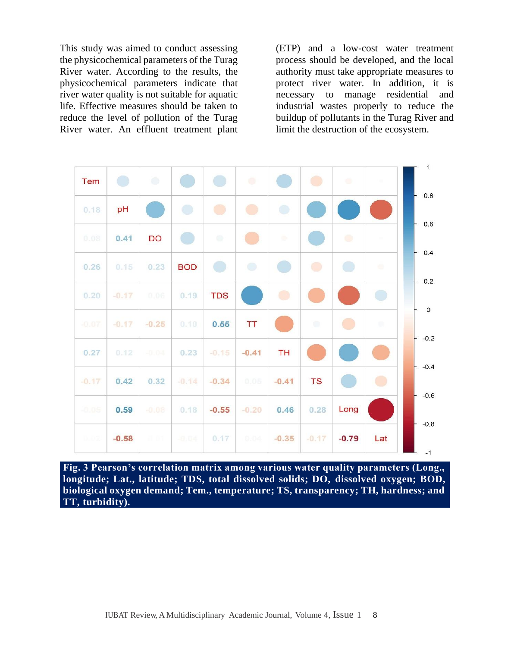This study was aimed to conduct assessing the physicochemical parameters of the Turag River water. According to the results, the physicochemical parameters indicate that river water quality is not suitable for aquatic life. Effective measures should be taken to reduce the level of pollution of the Turag River water. An effluent treatment plant (ETP) and a low-cost water treatment process should be developed, and the local authority must take appropriate measures to protect river water. In addition, it is necessary to manage residential and industrial wastes properly to reduce the buildup of pollutants in the Turag River and limit the destruction of the ecosystem.



**Fig. 3 Pearson's correlation matrix among various water quality parameters (Long., longitude; Lat., latitude; TDS, total dissolved solids; DO, dissolved oxygen; BOD, biological oxygen demand; Tem., temperature; TS, transparency; TH, hardness; and TT, turbidity).**